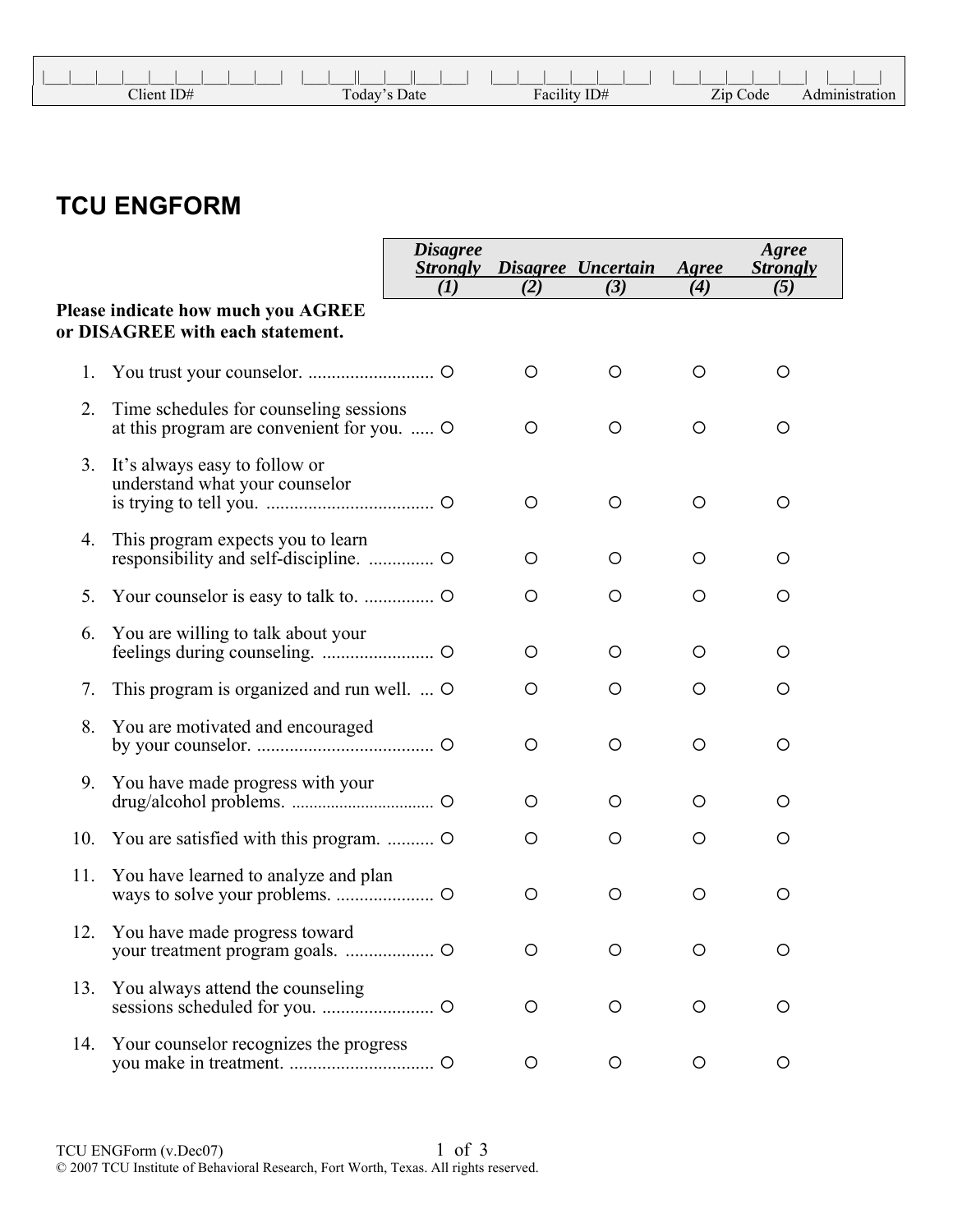| $Client$ ID# | Today's Date | Facility ID# | Zip Code |  |
|--------------|--------------|--------------|----------|--|

## **TCU ENGFORM**

|     |                                                                                      | <b>Disagree</b><br><b>Strongly</b> |     | Disagree Uncertain | Agree   | Agree<br><b>Strongly</b> |
|-----|--------------------------------------------------------------------------------------|------------------------------------|-----|--------------------|---------|--------------------------|
|     |                                                                                      | (I)                                | (2) | (3)                | (4)     | (5)                      |
|     | Please indicate how much you AGREE<br>or DISAGREE with each statement.               |                                    |     |                    |         |                          |
| 1.  |                                                                                      |                                    | O   | O                  | O       | O                        |
| 2.  | Time schedules for counseling sessions<br>at this program are convenient for you.  O |                                    | O   | $\circ$            | $\circ$ | O                        |
| 3.  | It's always easy to follow or<br>understand what your counselor                      |                                    | O   | O                  | $\circ$ | O                        |
| 4.  | This program expects you to learn                                                    |                                    | O   | O                  | O       | O                        |
| 5.  |                                                                                      |                                    | O   | $\circ$            | $\circ$ | O                        |
| 6.  | You are willing to talk about your                                                   |                                    | O   | $\circ$            | $\circ$ | O                        |
| 7.  | This program is organized and run well.  O                                           |                                    | O   | O                  | O       | O                        |
| 8.  | You are motivated and encouraged                                                     |                                    | O   | $\circ$            | $\circ$ | O                        |
| 9.  | You have made progress with your                                                     |                                    | O   | O                  | O       | O                        |
| 10. | You are satisfied with this program.                                                 |                                    | O   | O                  | $\circ$ | O                        |
| 11. | You have learned to analyze and plan                                                 |                                    | O   | O                  | O       | O                        |
| 12. | You have made progress toward                                                        |                                    | O   | O                  | O       | O                        |
| 13. | You always attend the counseling                                                     |                                    | O   | $\circ$            | $\circ$ | O                        |
| 14. | Your counselor recognizes the progress                                               |                                    | O   | O                  | O       | O                        |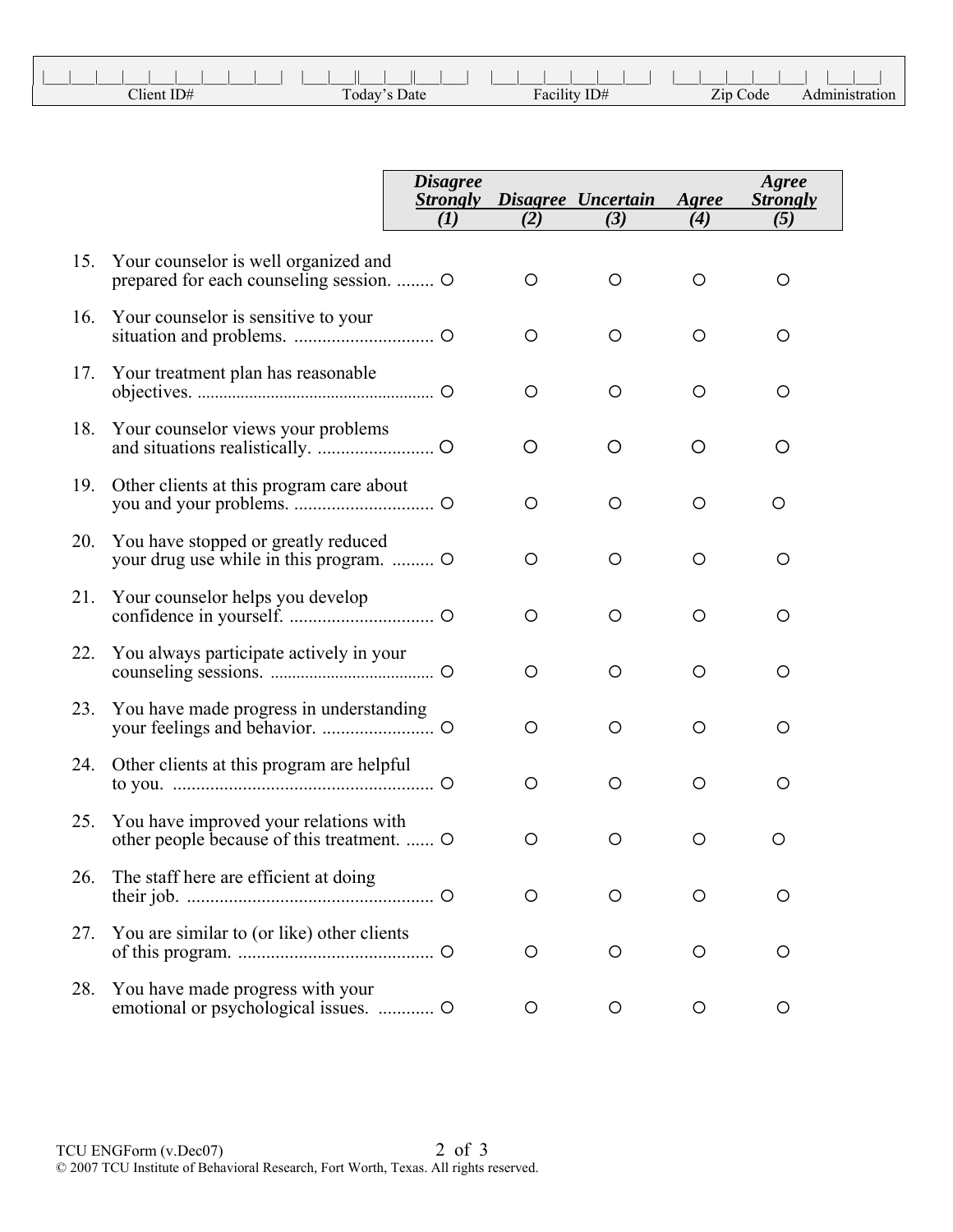| Client ID# | <b>Today's Date</b> | ID#<br>Facility. | Zip Code |  |
|------------|---------------------|------------------|----------|--|

|     |                                                                                  | <i>Disagree</i><br><b>Strongly</b> |         | Disagree Uncertain | Agree   | Agree<br><b>Strongly</b> |
|-----|----------------------------------------------------------------------------------|------------------------------------|---------|--------------------|---------|--------------------------|
|     |                                                                                  | (I)                                | (2)     | (3)                | (4)     | (5)                      |
| 15. | Your counselor is well organized and<br>prepared for each counseling session.  O |                                    | O       | O                  | O       | O                        |
| 16. | Your counselor is sensitive to your                                              |                                    | O       | O                  | $\circ$ | O                        |
| 17. | Your treatment plan has reasonable                                               |                                    | $\circ$ | O                  | $\circ$ | O                        |
| 18. | Your counselor views your problems                                               |                                    | O       | O                  | O       | O                        |
| 19. | Other clients at this program care about                                         |                                    | O       | O                  | $\circ$ | O                        |
| 20. | You have stopped or greatly reduced<br>your drug use while in this program.      |                                    | O       | O                  | $\circ$ | O                        |
|     | 21. Your counselor helps you develop                                             |                                    | O       | $\circ$            | $\circ$ | O                        |
| 22. | You always participate actively in your                                          |                                    | O       | O                  | $\circ$ | O                        |
| 23. | You have made progress in understanding                                          |                                    | O       | O                  | $\circ$ | O                        |
| 24. | Other clients at this program are helpful                                        |                                    | O       | $\circ$            | $\circ$ | O                        |
| 25. | You have improved your relations with<br>other people because of this treatment. |                                    | O       | O                  | O       | O                        |
| 26. | The staff here are efficient at doing                                            |                                    | О       | O                  | O       | O                        |
| 27. | You are similar to (or like) other clients                                       |                                    | O       | O                  | O       | O                        |
| 28. | You have made progress with your<br>emotional or psychological issues.  O        |                                    | O       | O                  | O       | O                        |